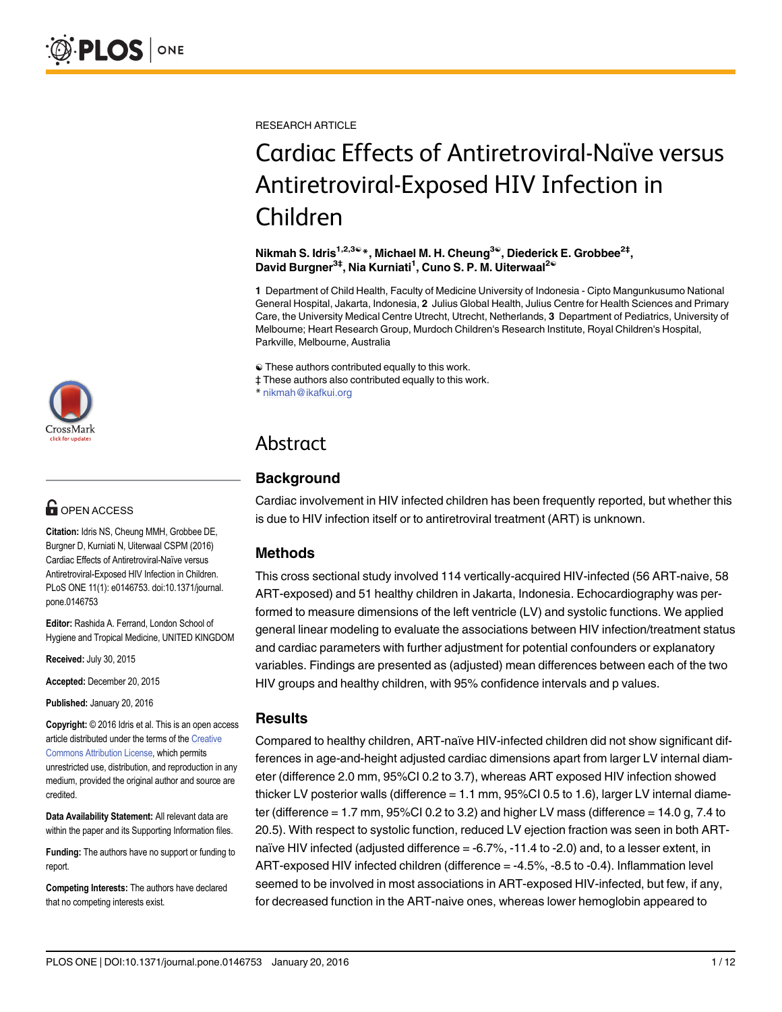

## **G** OPEN ACCESS

Citation: Idris NS, Cheung MMH, Grobbee DE, Burgner D, Kurniati N, Uiterwaal CSPM (2016) Cardiac Effects of Antiretroviral-Naïve versus Antiretroviral-Exposed HIV Infection in Children. PLoS ONE 11(1): e0146753. doi:10.1371/journal. pone.0146753

Editor: Rashida A. Ferrand, London School of Hygiene and Tropical Medicine, UNITED KINGDOM

Received: July 30, 2015

Accepted: December 20, 2015

Published: January 20, 2016

Copyright: © 2016 Idris et al. This is an open access article distributed under the terms of the [Creative](http://creativecommons.org/licenses/by/4.0/) [Commons Attribution License](http://creativecommons.org/licenses/by/4.0/), which permits unrestricted use, distribution, and reproduction in any medium, provided the original author and source are credited.

Data Availability Statement: All relevant data are within the paper and its Supporting Information files.

Funding: The authors have no support or funding to report.

Competing Interests: The authors have declared that no competing interests exist.

RESEARCH ARTICLE

# Cardiac Effects of Antiretroviral-Naïve versus Antiretroviral-Exposed HIV Infection in Children

Nikmah S. Idris<sup>1,2,3ଢ</sup>\*, Michael M. H. Cheung<sup>3ଢ</sup>, Diederick E. Grobbee<sup>2‡</sup>, David Burgner<sup>3‡</sup>, Nia Kurniati<sup>1</sup>, Cuno S. P. M. Uiterwaal<sup>2€</sup>

1 Department of Child Health, Faculty of Medicine University of Indonesia - Cipto Mangunkusumo National General Hospital, Jakarta, Indonesia, 2 Julius Global Health, Julius Centre for Health Sciences and Primary Care, the University Medical Centre Utrecht, Utrecht, Netherlands, 3 Department of Pediatrics, University of Melbourne; Heart Research Group, Murdoch Children's Research Institute, Royal Children's Hospital, Parkville, Melbourne, Australia

☯ These authors contributed equally to this work.

‡ These authors also contributed equally to this work.

\* nikmah@ikafkui.org

# Abstract

## **Background**

Cardiac involvement in HIV infected children has been frequently reported, but whether this is due to HIV infection itself or to antiretroviral treatment (ART) is unknown.

### Methods

This cross sectional study involved 114 vertically-acquired HIV-infected (56 ART-naive, 58 ART-exposed) and 51 healthy children in Jakarta, Indonesia. Echocardiography was performed to measure dimensions of the left ventricle (LV) and systolic functions. We applied general linear modeling to evaluate the associations between HIV infection/treatment status and cardiac parameters with further adjustment for potential confounders or explanatory variables. Findings are presented as (adjusted) mean differences between each of the two HIV groups and healthy children, with 95% confidence intervals and p values.

#### Results

Compared to healthy children, ART-naïve HIV-infected children did not show significant differences in age-and-height adjusted cardiac dimensions apart from larger LV internal diameter (difference 2.0 mm, 95%CI 0.2 to 3.7), whereas ART exposed HIV infection showed thicker LV posterior walls (difference = 1.1 mm, 95%CI 0.5 to 1.6), larger LV internal diameter (difference = 1.7 mm, 95%CI 0.2 to 3.2) and higher LV mass (difference = 14.0 g, 7.4 to 20.5). With respect to systolic function, reduced LV ejection fraction was seen in both ARTnaïve HIV infected (adjusted difference = -6.7%, -11.4 to -2.0) and, to a lesser extent, in ART-exposed HIV infected children (difference = -4.5%, -8.5 to -0.4). Inflammation level seemed to be involved in most associations in ART-exposed HIV-infected, but few, if any, for decreased function in the ART-naive ones, whereas lower hemoglobin appeared to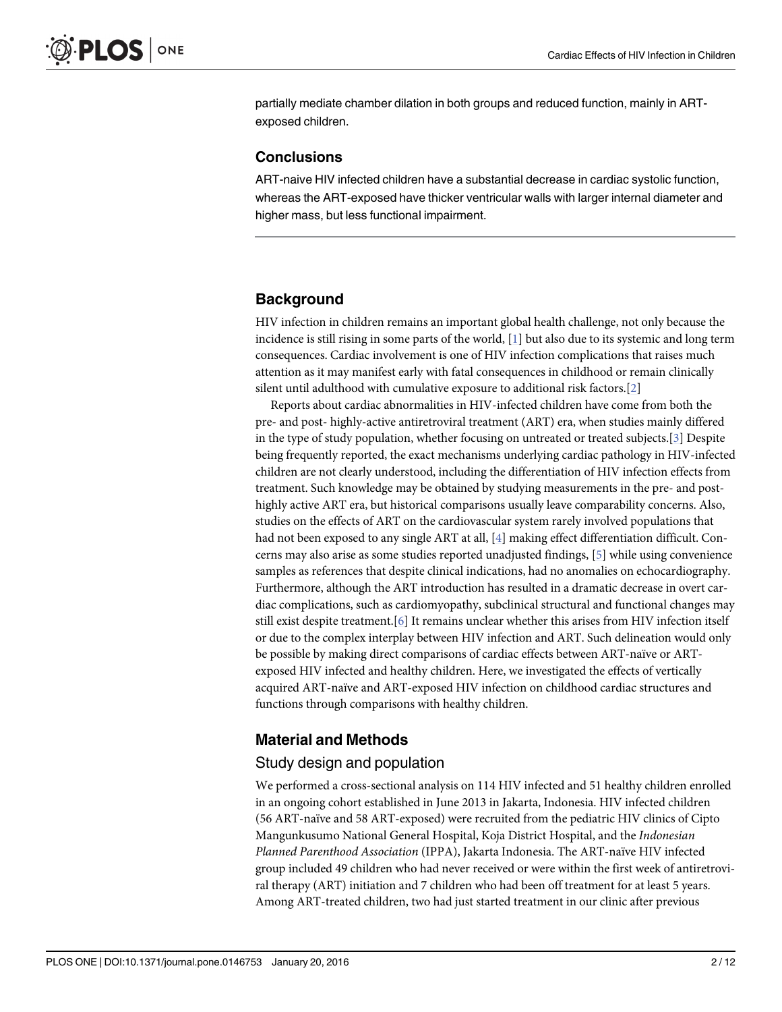<span id="page-1-0"></span>partially mediate chamber dilation in both groups and reduced function, mainly in ARTexposed children.

#### **Conclusions**

ART-naive HIV infected children have a substantial decrease in cardiac systolic function, whereas the ART-exposed have thicker ventricular walls with larger internal diameter and higher mass, but less functional impairment.

#### **Background**

HIV infection in children remains an important global health challenge, not only because the incidence is still rising in some parts of the world,  $[1]$  but also due to its systemic and long term consequences. Cardiac involvement is one of HIV infection complications that raises much attention as it may manifest early with fatal consequences in childhood or remain clinically silent until adulthood with cumulative exposure to additional risk factors.[[2\]](#page-10-0)

Reports about cardiac abnormalities in HIV-infected children have come from both the pre- and post- highly-active antiretroviral treatment (ART) era, when studies mainly differed in the type of study population, whether focusing on untreated or treated subjects.[\[3](#page-10-0)] Despite being frequently reported, the exact mechanisms underlying cardiac pathology in HIV-infected children are not clearly understood, including the differentiation of HIV infection effects from treatment. Such knowledge may be obtained by studying measurements in the pre- and posthighly active ART era, but historical comparisons usually leave comparability concerns. Also, studies on the effects of ART on the cardiovascular system rarely involved populations that had not been exposed to any single ART at all, [\[4\]](#page-10-0) making effect differentiation difficult. Concerns may also arise as some studies reported unadjusted findings, [[5\]](#page-10-0) while using convenience samples as references that despite clinical indications, had no anomalies on echocardiography. Furthermore, although the ART introduction has resulted in a dramatic decrease in overt cardiac complications, such as cardiomyopathy, subclinical structural and functional changes may still exist despite treatment.[[6\]](#page-10-0) It remains unclear whether this arises from HIV infection itself or due to the complex interplay between HIV infection and ART. Such delineation would only be possible by making direct comparisons of cardiac effects between ART-naïve or ARTexposed HIV infected and healthy children. Here, we investigated the effects of vertically acquired ART-naïve and ART-exposed HIV infection on childhood cardiac structures and functions through comparisons with healthy children.

#### Material and Methods

#### Study design and population

We performed a cross-sectional analysis on 114 HIV infected and 51 healthy children enrolled in an ongoing cohort established in June 2013 in Jakarta, Indonesia. HIV infected children (56 ART-naïve and 58 ART-exposed) were recruited from the pediatric HIV clinics of Cipto Mangunkusumo National General Hospital, Koja District Hospital, and the Indonesian Planned Parenthood Association (IPPA), Jakarta Indonesia. The ART-naïve HIV infected group included 49 children who had never received or were within the first week of antiretroviral therapy (ART) initiation and 7 children who had been off treatment for at least 5 years. Among ART-treated children, two had just started treatment in our clinic after previous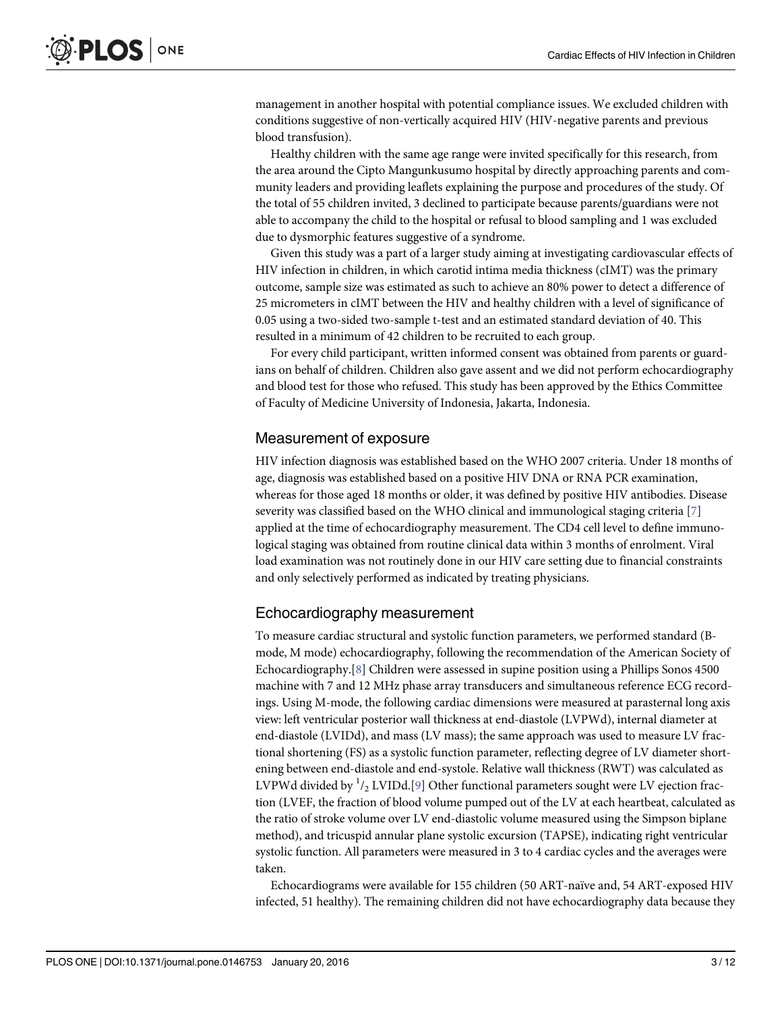<span id="page-2-0"></span>management in another hospital with potential compliance issues. We excluded children with conditions suggestive of non-vertically acquired HIV (HIV-negative parents and previous blood transfusion).

Healthy children with the same age range were invited specifically for this research, from the area around the Cipto Mangunkusumo hospital by directly approaching parents and community leaders and providing leaflets explaining the purpose and procedures of the study. Of the total of 55 children invited, 3 declined to participate because parents/guardians were not able to accompany the child to the hospital or refusal to blood sampling and 1 was excluded due to dysmorphic features suggestive of a syndrome.

Given this study was a part of a larger study aiming at investigating cardiovascular effects of HIV infection in children, in which carotid intima media thickness (cIMT) was the primary outcome, sample size was estimated as such to achieve an 80% power to detect a difference of 25 micrometers in cIMT between the HIV and healthy children with a level of significance of 0.05 using a two-sided two-sample t-test and an estimated standard deviation of 40. This resulted in a minimum of 42 children to be recruited to each group.

For every child participant, written informed consent was obtained from parents or guardians on behalf of children. Children also gave assent and we did not perform echocardiography and blood test for those who refused. This study has been approved by the Ethics Committee of Faculty of Medicine University of Indonesia, Jakarta, Indonesia.

#### Measurement of exposure

HIV infection diagnosis was established based on the WHO 2007 criteria. Under 18 months of age, diagnosis was established based on a positive HIV DNA or RNA PCR examination, whereas for those aged 18 months or older, it was defined by positive HIV antibodies. Disease severity was classified based on the WHO clinical and immunological staging criteria [\[7\]](#page-10-0) applied at the time of echocardiography measurement. The CD4 cell level to define immunological staging was obtained from routine clinical data within 3 months of enrolment. Viral load examination was not routinely done in our HIV care setting due to financial constraints and only selectively performed as indicated by treating physicians.

#### Echocardiography measurement

To measure cardiac structural and systolic function parameters, we performed standard (Bmode, M mode) echocardiography, following the recommendation of the American Society of Echocardiography.[[8](#page-10-0)] Children were assessed in supine position using a Phillips Sonos 4500 machine with 7 and 12 MHz phase array transducers and simultaneous reference ECG recordings. Using M-mode, the following cardiac dimensions were measured at parasternal long axis view: left ventricular posterior wall thickness at end-diastole (LVPWd), internal diameter at end-diastole (LVIDd), and mass (LV mass); the same approach was used to measure LV fractional shortening (FS) as a systolic function parameter, reflecting degree of LV diameter shortening between end-diastole and end-systole. Relative wall thickness (RWT) was calculated as LVPWd divided by  $^{\rm l}$ /2 LVIDd.[ $\rm g$ ] Other functional parameters sought were LV ejection fraction (LVEF, the fraction of blood volume pumped out of the LV at each heartbeat, calculated as the ratio of stroke volume over LV end-diastolic volume measured using the Simpson biplane method), and tricuspid annular plane systolic excursion (TAPSE), indicating right ventricular systolic function. All parameters were measured in 3 to 4 cardiac cycles and the averages were taken.

Echocardiograms were available for 155 children (50 ART-naïve and, 54 ART-exposed HIV infected, 51 healthy). The remaining children did not have echocardiography data because they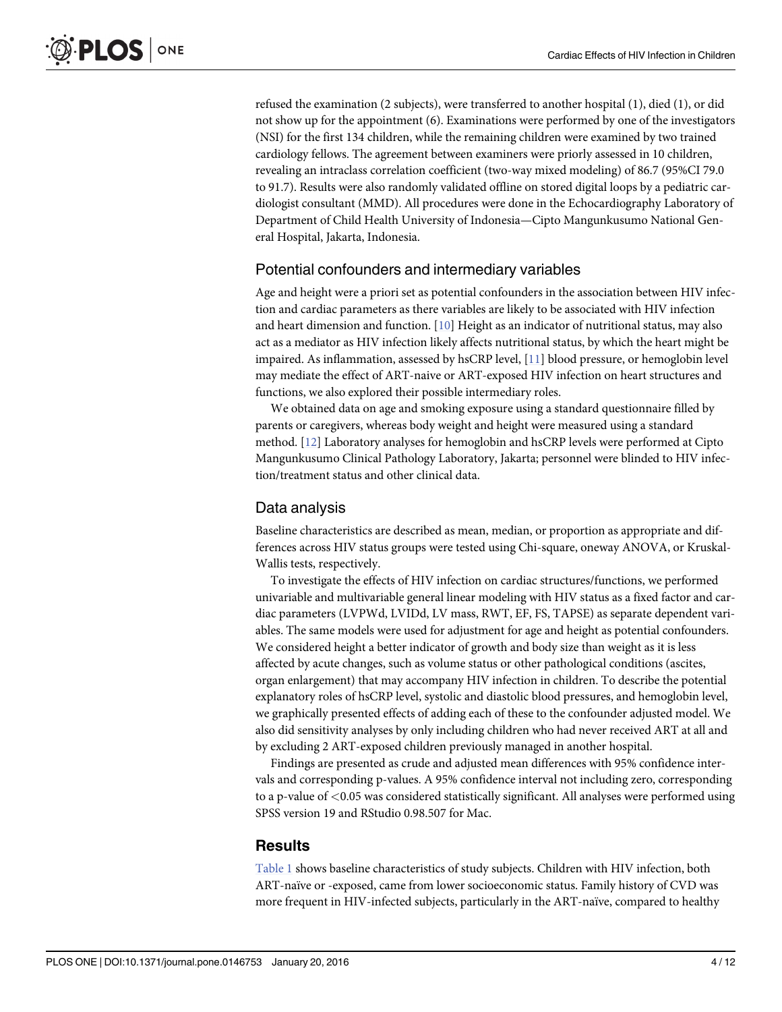<span id="page-3-0"></span>refused the examination (2 subjects), were transferred to another hospital (1), died (1), or did not show up for the appointment (6). Examinations were performed by one of the investigators (NSI) for the first 134 children, while the remaining children were examined by two trained cardiology fellows. The agreement between examiners were priorly assessed in 10 children, revealing an intraclass correlation coefficient (two-way mixed modeling) of 86.7 (95%CI 79.0 to 91.7). Results were also randomly validated offline on stored digital loops by a pediatric cardiologist consultant (MMD). All procedures were done in the Echocardiography Laboratory of Department of Child Health University of Indonesia—Cipto Mangunkusumo National General Hospital, Jakarta, Indonesia.

#### Potential confounders and intermediary variables

Age and height were a priori set as potential confounders in the association between HIV infection and cardiac parameters as there variables are likely to be associated with HIV infection and heart dimension and function. [\[10\]](#page-10-0) Height as an indicator of nutritional status, may also act as a mediator as HIV infection likely affects nutritional status, by which the heart might be impaired. As inflammation, assessed by hsCRP level, [[11](#page-10-0)] blood pressure, or hemoglobin level may mediate the effect of ART-naive or ART-exposed HIV infection on heart structures and functions, we also explored their possible intermediary roles.

We obtained data on age and smoking exposure using a standard questionnaire filled by parents or caregivers, whereas body weight and height were measured using a standard method. [[12](#page-10-0)] Laboratory analyses for hemoglobin and hsCRP levels were performed at Cipto Mangunkusumo Clinical Pathology Laboratory, Jakarta; personnel were blinded to HIV infection/treatment status and other clinical data.

#### Data analysis

Baseline characteristics are described as mean, median, or proportion as appropriate and differences across HIV status groups were tested using Chi-square, oneway ANOVA, or Kruskal-Wallis tests, respectively.

To investigate the effects of HIV infection on cardiac structures/functions, we performed univariable and multivariable general linear modeling with HIV status as a fixed factor and cardiac parameters (LVPWd, LVIDd, LV mass, RWT, EF, FS, TAPSE) as separate dependent variables. The same models were used for adjustment for age and height as potential confounders. We considered height a better indicator of growth and body size than weight as it is less affected by acute changes, such as volume status or other pathological conditions (ascites, organ enlargement) that may accompany HIV infection in children. To describe the potential explanatory roles of hsCRP level, systolic and diastolic blood pressures, and hemoglobin level, we graphically presented effects of adding each of these to the confounder adjusted model. We also did sensitivity analyses by only including children who had never received ART at all and by excluding 2 ART-exposed children previously managed in another hospital.

Findings are presented as crude and adjusted mean differences with 95% confidence intervals and corresponding p-values. A 95% confidence interval not including zero, corresponding to a p-value of  $< 0.05$  was considered statistically significant. All analyses were performed using SPSS version 19 and RStudio 0.98.507 for Mac.

#### **Results**

[Table 1](#page-4-0) shows baseline characteristics of study subjects. Children with HIV infection, both ART-naïve or -exposed, came from lower socioeconomic status. Family history of CVD was more frequent in HIV-infected subjects, particularly in the ART-naïve, compared to healthy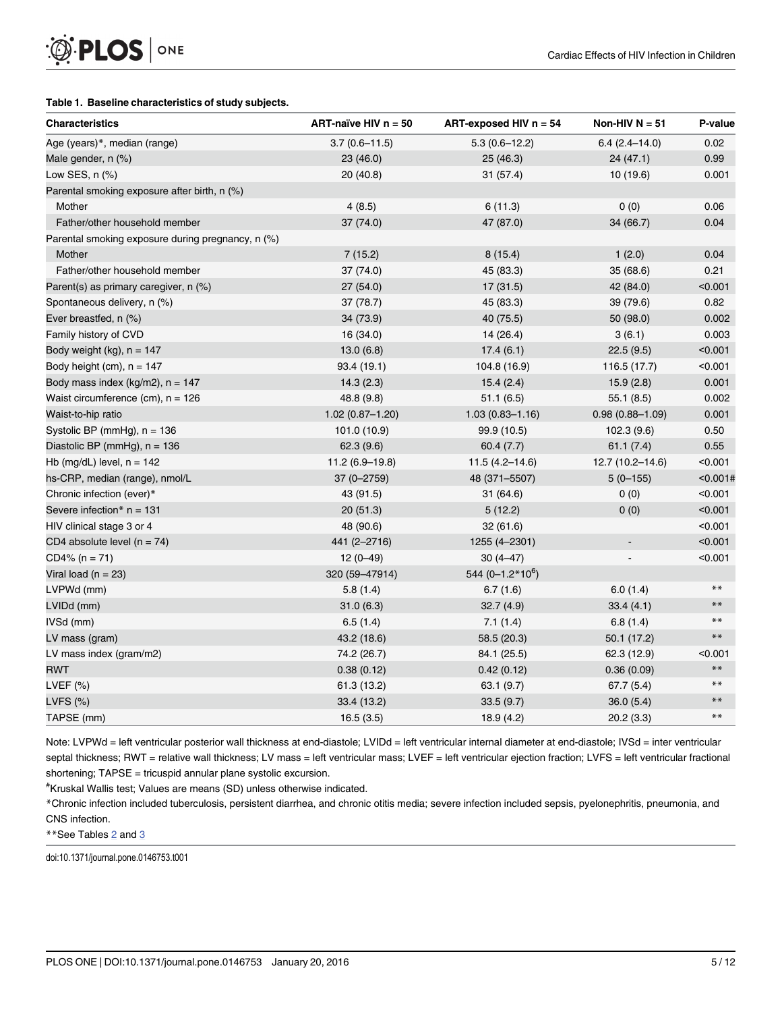#### <span id="page-4-0"></span>[Table 1.](#page-3-0) Baseline characteristics of study subjects.

| <b>Characteristics</b>                            | ART-naïve HIV n = 50 | ART-exposed HIV $n = 54$ | Non-HIV $N = 51$         | P-value  |
|---------------------------------------------------|----------------------|--------------------------|--------------------------|----------|
| Age (years)*, median (range)                      | $3.7(0.6 - 11.5)$    | $5.3(0.6 - 12.2)$        | $6.4(2.4 - 14.0)$        | 0.02     |
| Male gender, n (%)                                | 23 (46.0)            | 25 (46.3)                | 24 (47.1)                | 0.99     |
| Low SES, n (%)                                    | 20(40.8)             | 31(57.4)                 | 10 (19.6)                | 0.001    |
| Parental smoking exposure after birth, n (%)      |                      |                          |                          |          |
| Mother                                            | 4(8.5)               | 6(11.3)                  | 0(0)                     | 0.06     |
| Father/other household member                     | 37 (74.0)            | 47 (87.0)                | 34 (66.7)                | 0.04     |
| Parental smoking exposure during pregnancy, n (%) |                      |                          |                          |          |
| Mother                                            | 7(15.2)              | 8(15.4)                  | 1(2.0)                   | 0.04     |
| Father/other household member                     | 37 (74.0)            | 45 (83.3)                | 35 (68.6)                | 0.21     |
| Parent(s) as primary caregiver, n (%)             | 27(54.0)             | 17(31.5)                 | 42 (84.0)                | < 0.001  |
| Spontaneous delivery, n (%)                       | 37 (78.7)            | 45 (83.3)                | 39 (79.6)                | 0.82     |
| Ever breastfed, n (%)                             | 34 (73.9)            | 40 (75.5)                | 50 (98.0)                | 0.002    |
| Family history of CVD                             | 16 (34.0)            | 14 (26.4)                | 3(6.1)                   | 0.003    |
| Body weight (kg), $n = 147$                       | 13.0(6.8)            | 17.4(6.1)                | 22.5(9.5)                | < 0.001  |
| Body height (cm), $n = 147$                       | 93.4 (19.1)          | 104.8 (16.9)             | 116.5 (17.7)             | < 0.001  |
| Body mass index ( $kg/m2$ ), $n = 147$            | 14.3(2.3)            | 15.4(2.4)                | 15.9(2.8)                | 0.001    |
| Waist circumference $(cm)$ , $n = 126$            | 48.8 (9.8)           | 51.1(6.5)                | 55.1 (8.5)               | 0.002    |
| Waist-to-hip ratio                                | $1.02(0.87 - 1.20)$  | $1.03(0.83 - 1.16)$      | $0.98(0.88 - 1.09)$      | 0.001    |
| Systolic BP (mmHg), $n = 136$                     | 101.0 (10.9)         | 99.9 (10.5)              | 102.3(9.6)               | 0.50     |
| Diastolic BP (mmHg), $n = 136$                    | 62.3(9.6)            | 60.4(7.7)                | 61.1(7.4)                | 0.55     |
| Hb (mg/dL) level, $n = 142$                       | $11.2(6.9-19.8)$     | $11.5(4.2 - 14.6)$       | 12.7 (10.2-14.6)         | < 0.001  |
| hs-CRP, median (range), nmol/L                    | 37 (0-2759)          | 48 (371-5507)            | $5(0-155)$               | < 0.001# |
| Chronic infection (ever)*                         | 43 (91.5)            | 31 (64.6)                | 0(0)                     | < 0.001  |
| Severe infection* $n = 131$                       | 20(51.3)             | 5(12.2)                  | 0(0)                     | < 0.001  |
| HIV clinical stage 3 or 4                         | 48 (90.6)            | 32(61.6)                 |                          | < 0.001  |
| CD4 absolute level $(n = 74)$                     | 441 (2-2716)         | 1255 (4-2301)            | $\overline{\phantom{a}}$ | < 0.001  |
| $CD4\% (n = 71)$                                  | $12(0-49)$           | $30(4-47)$               |                          | < 0.001  |
| Viral load $(n = 23)$                             | 320 (59-47914)       | 544 $(0-1.2*10^6)$       |                          |          |
| LVPWd (mm)                                        | 5.8(1.4)             | 6.7(1.6)                 | 6.0(1.4)                 | $***$    |
| LVIDd (mm)                                        | 31.0(6.3)            | 32.7(4.9)                | 33.4(4.1)                | $***$    |
| IVSd (mm)                                         | 6.5(1.4)             | 7.1(1.4)                 | 6.8(1.4)                 | $***$    |
| LV mass (gram)                                    | 43.2 (18.6)          | 58.5 (20.3)              | 50.1 (17.2)              | $***$    |
| LV mass index (gram/m2)                           | 74.2 (26.7)          | 84.1 (25.5)              | 62.3 (12.9)              | < 0.001  |
| <b>RWT</b>                                        | 0.38(0.12)           | 0.42(0.12)               | 0.36(0.09)               | $***$    |
| LVEF (%)                                          | 61.3(13.2)           | 63.1(9.7)                | 67.7(5.4)                | $***$    |
| LVFS (%)                                          | 33.4 (13.2)          | 33.5(9.7)                | 36.0(5.4)                | $***$    |
| TAPSE (mm)                                        | 16.5(3.5)            | 18.9(4.2)                | 20.2(3.3)                | $***$    |

Note: LVPWd = left ventricular posterior wall thickness at end-diastole; LVIDd = left ventricular internal diameter at end-diastole; IVSd = inter ventricular septal thickness; RWT = relative wall thickness; LV mass = left ventricular mass; LVEF = left ventricular ejection fraction; LVFS = left ventricular fractional shortening; TAPSE = tricuspid annular plane systolic excursion.

# Kruskal Wallis test; Values are means (SD) unless otherwise indicated.

\*Chronic infection included tuberculosis, persistent diarrhea, and chronic otitis media; severe infection included sepsis, pyelonephritis, pneumonia, and CNS infection.

\*\*See Tables [2](#page-5-0) and [3](#page-7-0)

doi:10.1371/journal.pone.0146753.t001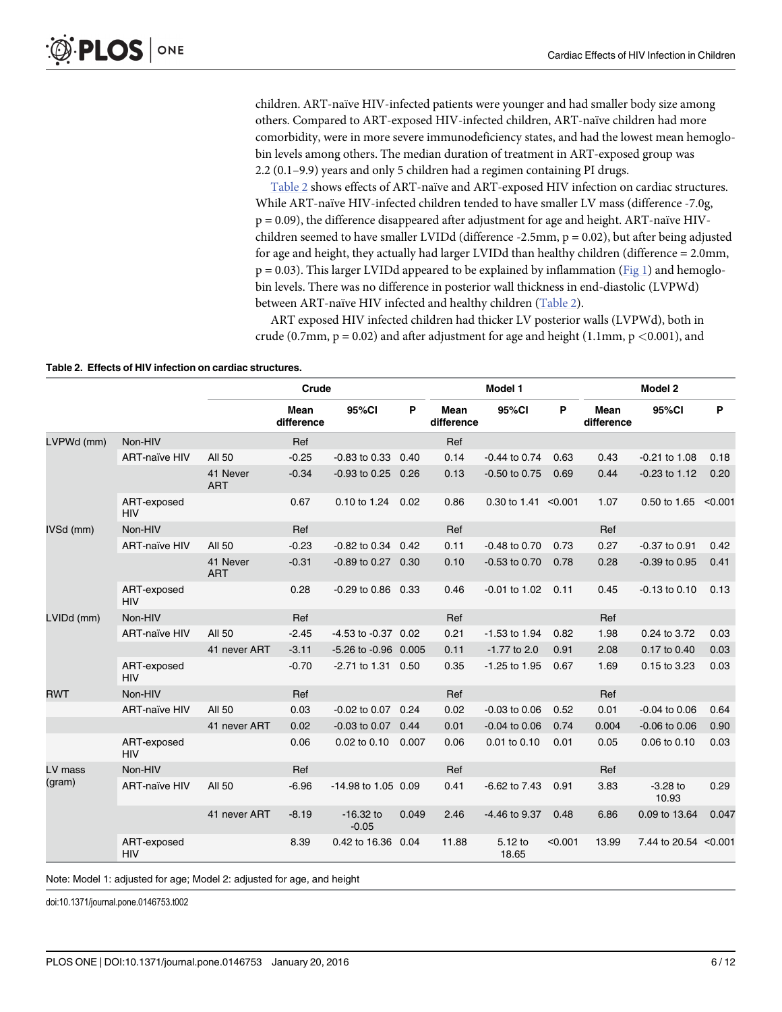<span id="page-5-0"></span>children. ART-naïve HIV-infected patients were younger and had smaller body size among others. Compared to ART-exposed HIV-infected children, ART-naïve children had more comorbidity, were in more severe immunodeficiency states, and had the lowest mean hemoglobin levels among others. The median duration of treatment in ART-exposed group was 2.2 (0.1–9.9) years and only 5 children had a regimen containing PI drugs.

Table 2 shows effects of ART-naïve and ART-exposed HIV infection on cardiac structures. While ART-naïve HIV-infected children tended to have smaller LV mass (difference -7.0g, p = 0.09), the difference disappeared after adjustment for age and height. ART-naïve HIVchildren seemed to have smaller LVIDd (difference  $-2.5$ mm,  $p = 0.02$ ), but after being adjusted for age and height, they actually had larger LVIDd than healthy children (difference = 2.0mm,  $p = 0.03$ ). This larger LVIDd appeared to be explained by inflammation ([Fig 1](#page-6-0)) and hemoglobin levels. There was no difference in posterior wall thickness in end-diastolic (LVPWd) between ART-naïve HIV infected and healthy children (Table 2).

ART exposed HIV infected children had thicker LV posterior walls (LVPWd), both in crude (0.7mm,  $p = 0.02$ ) and after adjustment for age and height (1.1mm,  $p \le 0.001$ ), and

| Table 2. Effects of HIV infection on cardiac structures. |  |  |
|----------------------------------------------------------|--|--|
|                                                          |  |  |

|            |                           | Crude                  |                           |                         | Model 1 |                    |                        | Model 2 |                    |                       |         |
|------------|---------------------------|------------------------|---------------------------|-------------------------|---------|--------------------|------------------------|---------|--------------------|-----------------------|---------|
|            |                           |                        | <b>Mean</b><br>difference | 95%CI                   | P       | Mean<br>difference | 95%CI                  | P       | Mean<br>difference | 95%CI                 | P       |
| LVPWd (mm) | Non-HIV                   |                        | Ref                       |                         |         | Ref                |                        |         |                    |                       |         |
|            | <b>ART-naïve HIV</b>      | <b>All 50</b>          | $-0.25$                   | $-0.83$ to $0.33$       | 0.40    | 0.14               | $-0.44$ to 0.74        | 0.63    | 0.43               | $-0.21$ to $1.08$     | 0.18    |
|            |                           | 41 Never<br><b>ART</b> | $-0.34$                   | $-0.93$ to 0.25         | 0.26    | 0.13               | $-0.50$ to $0.75$      | 0.69    | 0.44               | $-0.23$ to $1.12$     | 0.20    |
|            | ART-exposed<br><b>HIV</b> |                        | 0.67                      | 0.10 to 1.24            | 0.02    | 0.86               | 0.30 to 1.41 $<$ 0.001 |         | 1.07               | 0.50 to 1.65          | < 0.001 |
| IVSd (mm)  | Non-HIV                   |                        | Ref                       |                         |         | Ref                |                        |         | Ref                |                       |         |
|            | <b>ART-naïve HIV</b>      | <b>All 50</b>          | $-0.23$                   | $-0.82$ to $0.34$ 0.42  |         | 0.11               | $-0.48$ to $0.70$      | 0.73    | 0.27               | $-0.37$ to $0.91$     | 0.42    |
|            |                           | 41 Never<br><b>ART</b> | $-0.31$                   | $-0.89$ to $0.27$ 0.30  |         | 0.10               | $-0.53$ to $0.70$      | 0.78    | 0.28               | $-0.39$ to $0.95$     | 0.41    |
|            | ART-exposed<br><b>HIV</b> |                        | 0.28                      | $-0.29$ to $0.86$       | 0.33    | 0.46               | $-0.01$ to $1.02$      | 0.11    | 0.45               | $-0.13$ to $0.10$     | 0.13    |
| LVIDd (mm) | Non-HIV                   |                        | Ref                       |                         |         | Ref                |                        |         | Ref                |                       |         |
|            | <b>ART-naïve HIV</b>      | All 50                 | $-2.45$                   | $-4.53$ to $-0.37$ 0.02 |         | 0.21               | $-1.53$ to $1.94$      | 0.82    | 1.98               | 0.24 to 3.72          | 0.03    |
|            |                           | 41 never ART           | $-3.11$                   | -5.26 to -0.96 0.005    |         | 0.11               | $-1.77$ to 2.0         | 0.91    | 2.08               | 0.17 to 0.40          | 0.03    |
|            | ART-exposed<br><b>HIV</b> |                        | $-0.70$                   | $-2.71$ to 1.31 0.50    |         | 0.35               | -1.25 to 1.95          | 0.67    | 1.69               | 0.15 to 3.23          | 0.03    |
| <b>RWT</b> | Non-HIV                   |                        | Ref                       |                         |         | Ref                |                        |         | Ref                |                       |         |
|            | <b>ART-naïve HIV</b>      | All 50                 | 0.03                      | $-0.02$ to $0.07$       | 0.24    | 0.02               | $-0.03$ to $0.06$      | 0.52    | 0.01               | $-0.04$ to $0.06$     | 0.64    |
|            |                           | 41 never ART           | 0.02                      | $-0.03$ to $0.07$ 0.44  |         | 0.01               | $-0.04$ to $0.06$      | 0.74    | 0.004              | $-0.06$ to $0.06$     | 0.90    |
|            | ART-exposed<br><b>HIV</b> |                        | 0.06                      | 0.02 to 0.10            | 0.007   | 0.06               | 0.01 to 0.10           | 0.01    | 0.05               | 0.06 to 0.10          | 0.03    |
| LV mass    | Non-HIV                   |                        | Ref                       |                         |         | Ref                |                        |         | Ref                |                       |         |
| (gram)     | <b>ART-naïve HIV</b>      | <b>AII 50</b>          | $-6.96$                   | -14.98 to 1.05 0.09     |         | 0.41               | $-6.62$ to $7.43$      | 0.91    | 3.83               | $-3.28$ to<br>10.93   | 0.29    |
|            |                           | 41 never ART           | $-8.19$                   | $-16.32$ to<br>$-0.05$  | 0.049   | 2.46               | -4.46 to 9.37          | 0.48    | 6.86               | 0.09 to 13.64         | 0.047   |
|            | ART-exposed<br><b>HIV</b> |                        | 8.39                      | 0.42 to 16.36 0.04      |         | 11.88              | 5.12 to<br>18.65       | < 0.001 | 13.99              | 7.44 to 20.54 < 0.001 |         |

Note: Model 1: adjusted for age; Model 2: adjusted for age, and height

doi:10.1371/journal.pone.0146753.t002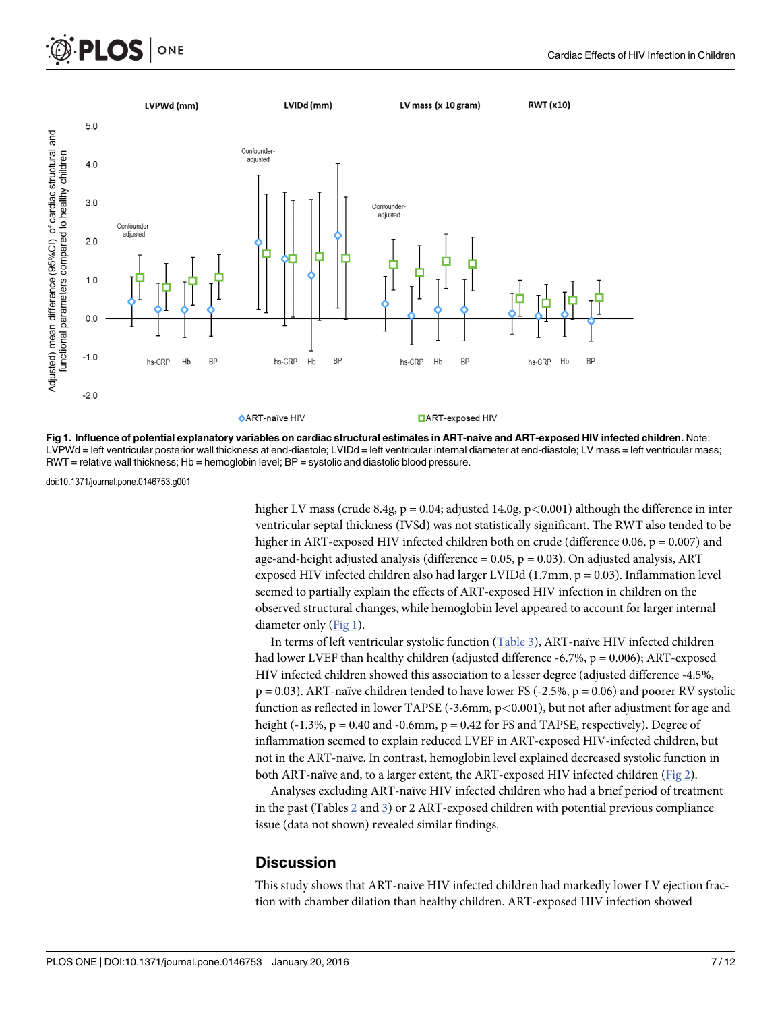<span id="page-6-0"></span>



LVPWd = left ventricular posterior wall thickness at end-diastole; LVIDd = left ventricular internal diameter at end-diastole; LV mass = left ventricular mass; RWT = relative wall thickness; Hb = hemoglobin level; BP = systolic and diastolic blood pressure.

doi:10.1371/journal.pone.0146753.g001

higher LV mass (crude 8.4g,  $p = 0.04$ ; adjusted 14.0g,  $p \lt 0.001$ ) although the difference in inter ventricular septal thickness (IVSd) was not statistically significant. The RWT also tended to be higher in ART-exposed HIV infected children both on crude (difference 0.06,  $p = 0.007$ ) and age-and-height adjusted analysis (difference  $= 0.05$ ,  $p = 0.03$ ). On adjusted analysis, ART exposed HIV infected children also had larger LVIDd  $(1.7\text{mm}, p = 0.03)$ . Inflammation level seemed to partially explain the effects of ART-exposed HIV infection in children on the observed structural changes, while hemoglobin level appeared to account for larger internal diameter only (Fig 1).

In terms of left ventricular systolic function [\(Table 3](#page-7-0)), ART-naïve HIV infected children had lower LVEF than healthy children (adjusted difference -6.7%, p = 0.006); ART-exposed HIV infected children showed this association to a lesser degree (adjusted difference -4.5%,  $p = 0.03$ ). ART-naïve children tended to have lower FS (-2.5%,  $p = 0.06$ ) and poorer RV systolic function as reflected in lower TAPSE  $(-3.6$ mm,  $p<0.001$ ), but not after adjustment for age and height (-1.3%,  $p = 0.40$  and -0.6mm,  $p = 0.42$  for FS and TAPSE, respectively). Degree of inflammation seemed to explain reduced LVEF in ART-exposed HIV-infected children, but not in the ART-naïve. In contrast, hemoglobin level explained decreased systolic function in both ART-naïve and, to a larger extent, the ART-exposed HIV infected children [\(Fig 2\)](#page-7-0).

Analyses excluding ART-naïve HIV infected children who had a brief period of treatment in the past (Tables  $2$  and  $3$ ) or  $2$  ART-exposed children with potential previous compliance issue (data not shown) revealed similar findings.

#### **Discussion**

This study shows that ART-naive HIV infected children had markedly lower LV ejection fraction with chamber dilation than healthy children. ART-exposed HIV infection showed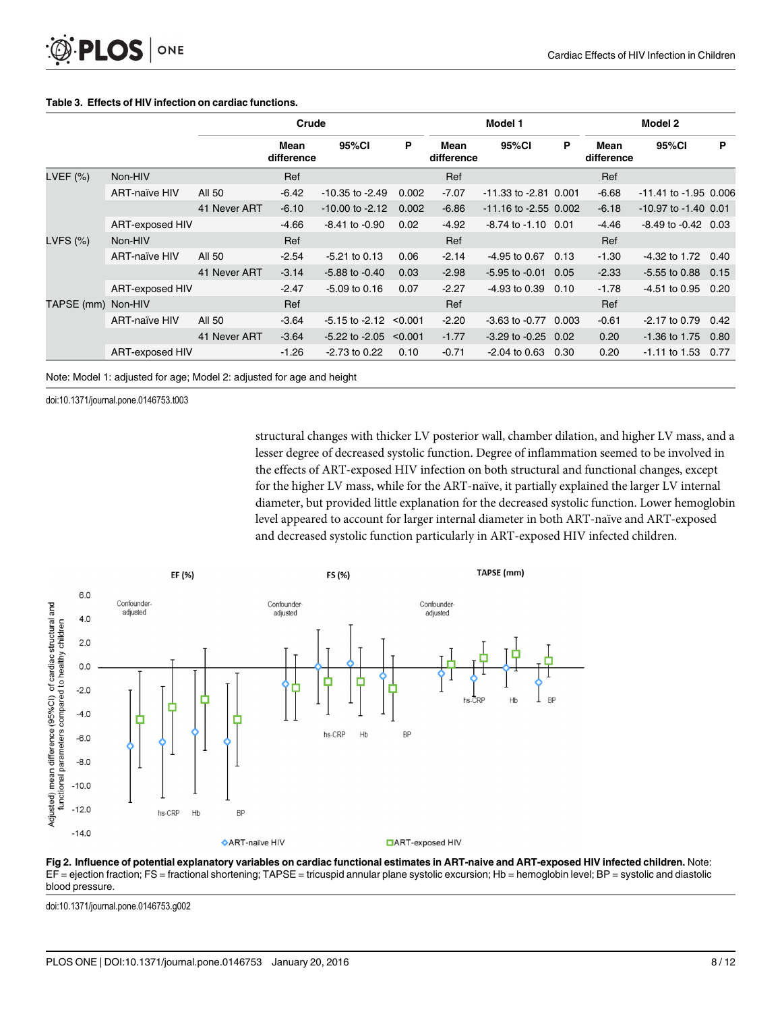|            |                      | Crude        |                    |                            | Model 1 |                    |                           | Model 2 |                    |                           |      |
|------------|----------------------|--------------|--------------------|----------------------------|---------|--------------------|---------------------------|---------|--------------------|---------------------------|------|
|            |                      |              | Mean<br>difference | 95%CI                      | P       | Mean<br>difference | 95%Cl                     | P       | Mean<br>difference | 95%CI                     | P    |
| LVEF (%)   | Non-HIV              |              | Ref                |                            |         | Ref                |                           |         | Ref                |                           |      |
|            | <b>ART-naïve HIV</b> | All 50       | $-6.42$            | $-10.35$ to $-2.49$        | 0.002   | $-7.07$            | $-11.33$ to $-2.81$ 0.001 |         | $-6.68$            | $-11.41$ to $-1.95$ 0.006 |      |
|            |                      | 41 Never ART | $-6.10$            | $-10.00$ to $-2.12$        | 0.002   | $-6.86$            | $-11.16$ to $-2.55$ 0.002 |         | $-6.18$            | $-10.97$ to $-1.40$ 0.01  |      |
|            | ART-exposed HIV      |              | $-4.66$            | $-8.41$ to $-0.90$         | 0.02    | $-4.92$            | $-8.74$ to $-1.10$ 0.01   |         | $-4.46$            | $-8.49$ to $-0.42$ 0.03   |      |
| LVFS (%)   | Non-HIV              |              | Ref                |                            |         | Ref                |                           |         | Ref                |                           |      |
|            | <b>ART-naïve HIV</b> | All 50       | $-2.54$            | $-5.21$ to 0.13            | 0.06    | $-2.14$            | -4.95 to 0.67             | 0.13    | $-1.30$            | $-4.32$ to 1.72           | 0.40 |
|            |                      | 41 Never ART | $-3.14$            | $-5.88$ to $-0.40$         | 0.03    | $-2.98$            | $-5.95$ to $-0.01$ 0.05   |         | $-2.33$            | $-5.55$ to 0.88 0.15      |      |
|            | ART-exposed HIV      |              | $-2.47$            | $-5.09$ to 0.16            | 0.07    | $-2.27$            | -4.93 to 0.39             | 0.10    | $-1.78$            | $-4.51$ to 0.95           | 0.20 |
| TAPSE (mm) | Non-HIV              |              | Ref                |                            |         | Ref                |                           |         | Ref                |                           |      |
|            | <b>ART-naïve HIV</b> | All 50       | $-3.64$            | $-5.15$ to $-2.12$ < 0.001 |         | $-2.20$            | $-3.63$ to $-0.77$ 0.003  |         | $-0.61$            | $-2.17$ to 0.79           | 0.42 |
|            |                      | 41 Never ART | $-3.64$            | $-5.22$ to $-2.05$         | < 0.001 | $-1.77$            | $-3.29$ to $-0.25$ 0.02   |         | 0.20               | $-1.36$ to 1.75           | 0.80 |
|            | ART-exposed HIV      |              | $-1.26$            | $-2.73$ to 0.22            | 0.10    | $-0.71$            | $-2.04$ to 0.63 0.30      |         | 0.20               | $-1.11$ to $1.53$ 0.77    |      |

#### <span id="page-7-0"></span>[Table 3.](#page-4-0) Effects of HIV infection on cardiac functions.

Note: Model 1: adjusted for age; Model 2: adjusted for age and height

doi:10.1371/journal.pone.0146753.t003

structural changes with thicker LV posterior wall, chamber dilation, and higher LV mass, and a lesser degree of decreased systolic function. Degree of inflammation seemed to be involved in the effects of ART-exposed HIV infection on both structural and functional changes, except for the higher LV mass, while for the ART-naïve, it partially explained the larger LV internal diameter, but provided little explanation for the decreased systolic function. Lower hemoglobin level appeared to account for larger internal diameter in both ART-naïve and ART-exposed and decreased systolic function particularly in ART-exposed HIV infected children.



[Fig 2. I](#page-6-0)nfluence of potential explanatory variables on cardiac functional estimates in ART-naive and ART-exposed HIV infected children. Note: EF = ejection fraction; FS = fractional shortening; TAPSE = tricuspid annular plane systolic excursion; Hb = hemoglobin level; BP = systolic and diastolic blood pressure.

doi:10.1371/journal.pone.0146753.g002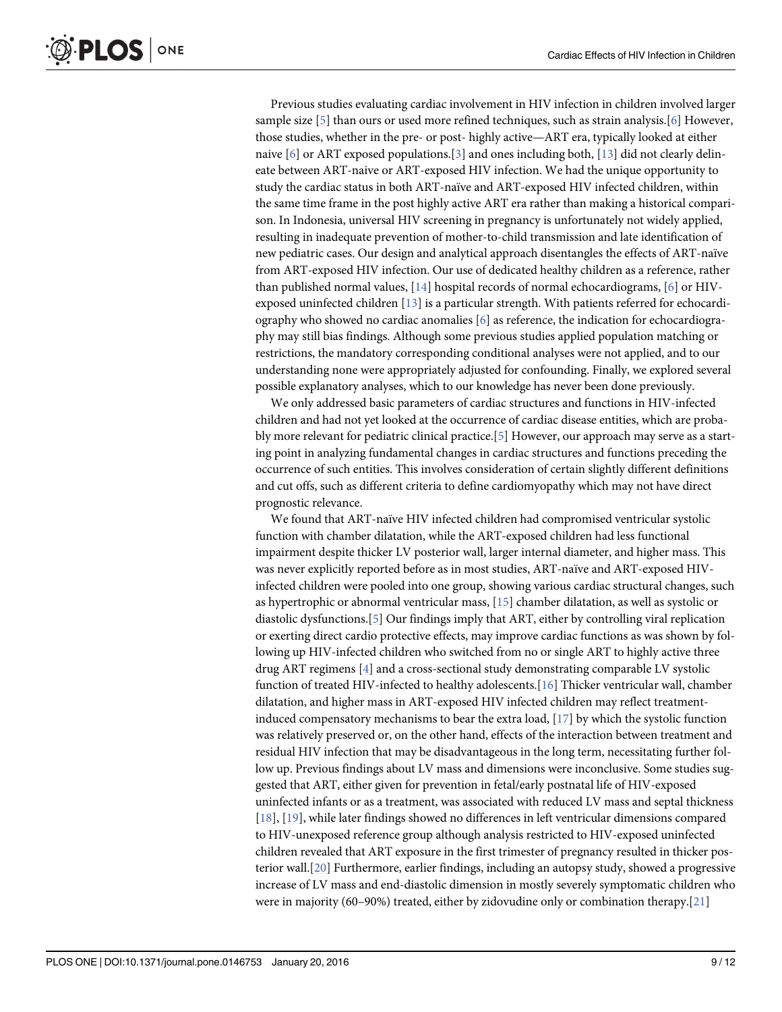<span id="page-8-0"></span>Previous studies evaluating cardiac involvement in HIV infection in children involved larger sample size [\[5](#page-10-0)] than ours or used more refined techniques, such as strain analysis.[[6](#page-10-0)] However, those studies, whether in the pre- or post- highly active—ART era, typically looked at either naive  $[6]$  $[6]$  or ART exposed populations. [[3](#page-10-0)] and ones including both, [[13](#page-10-0)] did not clearly delineate between ART-naive or ART-exposed HIV infection. We had the unique opportunity to study the cardiac status in both ART-naïve and ART-exposed HIV infected children, within the same time frame in the post highly active ART era rather than making a historical comparison. In Indonesia, universal HIV screening in pregnancy is unfortunately not widely applied, resulting in inadequate prevention of mother-to-child transmission and late identification of new pediatric cases. Our design and analytical approach disentangles the effects of ART-naïve from ART-exposed HIV infection. Our use of dedicated healthy children as a reference, rather than published normal values,  $[14]$  hospital records of normal echocardiograms,  $[6]$  $[6]$  or HIVexposed uninfected children [[13](#page-10-0)] is a particular strength. With patients referred for echocardiography who showed no cardiac anomalies [[6\]](#page-10-0) as reference, the indication for echocardiography may still bias findings. Although some previous studies applied population matching or restrictions, the mandatory corresponding conditional analyses were not applied, and to our understanding none were appropriately adjusted for confounding. Finally, we explored several possible explanatory analyses, which to our knowledge has never been done previously.

We only addressed basic parameters of cardiac structures and functions in HIV-infected children and had not yet looked at the occurrence of cardiac disease entities, which are proba-bly more relevant for pediatric clinical practice.[[5\]](#page-10-0) However, our approach may serve as a starting point in analyzing fundamental changes in cardiac structures and functions preceding the occurrence of such entities. This involves consideration of certain slightly different definitions and cut offs, such as different criteria to define cardiomyopathy which may not have direct prognostic relevance.

We found that ART-naïve HIV infected children had compromised ventricular systolic function with chamber dilatation, while the ART-exposed children had less functional impairment despite thicker LV posterior wall, larger internal diameter, and higher mass. This was never explicitly reported before as in most studies, ART-naïve and ART-exposed HIVinfected children were pooled into one group, showing various cardiac structural changes, such as hypertrophic or abnormal ventricular mass, [\[15\]](#page-10-0) chamber dilatation, as well as systolic or diastolic dysfunctions.[[5\]](#page-10-0) Our findings imply that ART, either by controlling viral replication or exerting direct cardio protective effects, may improve cardiac functions as was shown by following up HIV-infected children who switched from no or single ART to highly active three drug ART regimens [\[4](#page-10-0)] and a cross-sectional study demonstrating comparable LV systolic function of treated HIV-infected to healthy adolescents.[\[16\]](#page-10-0) Thicker ventricular wall, chamber dilatation, and higher mass in ART-exposed HIV infected children may reflect treatmentinduced compensatory mechanisms to bear the extra load, [\[17\]](#page-10-0) by which the systolic function was relatively preserved or, on the other hand, effects of the interaction between treatment and residual HIV infection that may be disadvantageous in the long term, necessitating further follow up. Previous findings about LV mass and dimensions were inconclusive. Some studies suggested that ART, either given for prevention in fetal/early postnatal life of HIV-exposed uninfected infants or as a treatment, was associated with reduced LV mass and septal thickness [\[18](#page-10-0)], [\[19\]](#page-10-0), while later findings showed no differences in left ventricular dimensions compared to HIV-unexposed reference group although analysis restricted to HIV-exposed uninfected children revealed that ART exposure in the first trimester of pregnancy resulted in thicker posterior wall.[\[20\]](#page-11-0) Furthermore, earlier findings, including an autopsy study, showed a progressive increase of LV mass and end-diastolic dimension in mostly severely symptomatic children who were in majority (60–90%) treated, either by zidovudine only or combination therapy.[\[21\]](#page-11-0)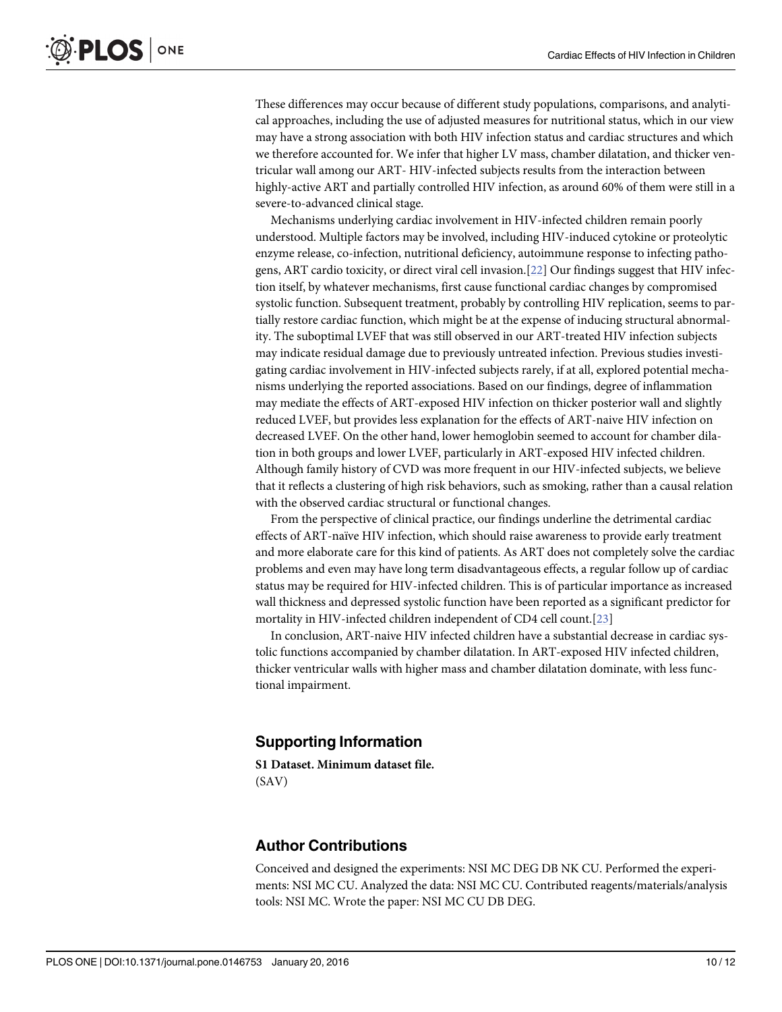<span id="page-9-0"></span>These differences may occur because of different study populations, comparisons, and analytical approaches, including the use of adjusted measures for nutritional status, which in our view may have a strong association with both HIV infection status and cardiac structures and which we therefore accounted for. We infer that higher LV mass, chamber dilatation, and thicker ventricular wall among our ART- HIV-infected subjects results from the interaction between highly-active ART and partially controlled HIV infection, as around 60% of them were still in a severe-to-advanced clinical stage.

Mechanisms underlying cardiac involvement in HIV-infected children remain poorly understood. Multiple factors may be involved, including HIV-induced cytokine or proteolytic enzyme release, co-infection, nutritional deficiency, autoimmune response to infecting pathogens, ART cardio toxicity, or direct viral cell invasion.[[22](#page-11-0)] Our findings suggest that HIV infection itself, by whatever mechanisms, first cause functional cardiac changes by compromised systolic function. Subsequent treatment, probably by controlling HIV replication, seems to partially restore cardiac function, which might be at the expense of inducing structural abnormality. The suboptimal LVEF that was still observed in our ART-treated HIV infection subjects may indicate residual damage due to previously untreated infection. Previous studies investigating cardiac involvement in HIV-infected subjects rarely, if at all, explored potential mechanisms underlying the reported associations. Based on our findings, degree of inflammation may mediate the effects of ART-exposed HIV infection on thicker posterior wall and slightly reduced LVEF, but provides less explanation for the effects of ART-naive HIV infection on decreased LVEF. On the other hand, lower hemoglobin seemed to account for chamber dilation in both groups and lower LVEF, particularly in ART-exposed HIV infected children. Although family history of CVD was more frequent in our HIV-infected subjects, we believe that it reflects a clustering of high risk behaviors, such as smoking, rather than a causal relation with the observed cardiac structural or functional changes.

From the perspective of clinical practice, our findings underline the detrimental cardiac effects of ART-naïve HIV infection, which should raise awareness to provide early treatment and more elaborate care for this kind of patients. As ART does not completely solve the cardiac problems and even may have long term disadvantageous effects, a regular follow up of cardiac status may be required for HIV-infected children. This is of particular importance as increased wall thickness and depressed systolic function have been reported as a significant predictor for mortality in HIV-infected children independent of CD4 cell count.[\[23\]](#page-11-0)

In conclusion, ART-naive HIV infected children have a substantial decrease in cardiac systolic functions accompanied by chamber dilatation. In ART-exposed HIV infected children, thicker ventricular walls with higher mass and chamber dilatation dominate, with less functional impairment.

#### Supporting Information

[S1 Dataset.](http://www.plosone.org/article/fetchSingleRepresentation.action?uri=info:doi/10.1371/journal.pone.0146753.s001) Minimum dataset file. (SAV)

#### Author Contributions

Conceived and designed the experiments: NSI MC DEG DB NK CU. Performed the experiments: NSI MC CU. Analyzed the data: NSI MC CU. Contributed reagents/materials/analysis tools: NSI MC. Wrote the paper: NSI MC CU DB DEG.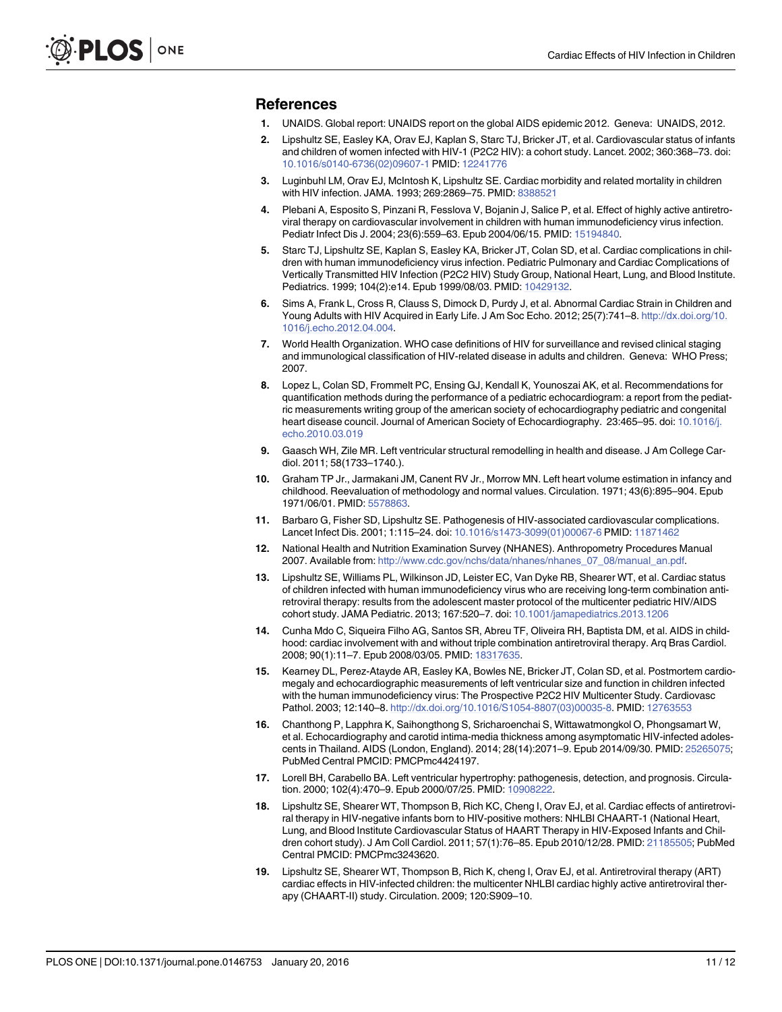#### <span id="page-10-0"></span>References

- [1.](#page-1-0) UNAIDS. Global report: UNAIDS report on the global AIDS epidemic 2012. Geneva: UNAIDS, 2012.
- [2.](#page-1-0) Lipshultz SE, Easley KA, Orav EJ, Kaplan S, Starc TJ, Bricker JT, et al. Cardiovascular status of infants and children of women infected with HIV-1 (P2C2 HIV): a cohort study. Lancet. 2002; 360:368–73. doi: [10.1016/s0140-6736\(02\)09607-1](http://dx.doi.org/10.1016/s0140-6736(02)09607-1) PMID: [12241776](http://www.ncbi.nlm.nih.gov/pubmed/12241776)
- [3.](#page-1-0) Luginbuhl LM, Orav EJ, McIntosh K, Lipshultz SE. Cardiac morbidity and related mortality in children with HIV infection. JAMA. 1993; 269:2869–75. PMID: [8388521](http://www.ncbi.nlm.nih.gov/pubmed/8388521)
- [4.](#page-1-0) Plebani A, Esposito S, Pinzani R, Fesslova V, Bojanin J, Salice P, et al. Effect of highly active antiretroviral therapy on cardiovascular involvement in children with human immunodeficiency virus infection. Pediatr Infect Dis J. 2004; 23(6):559–63. Epub 2004/06/15. PMID: [15194840.](http://www.ncbi.nlm.nih.gov/pubmed/15194840)
- [5.](#page-1-0) Starc TJ, Lipshultz SE, Kaplan S, Easley KA, Bricker JT, Colan SD, et al. Cardiac complications in children with human immunodeficiency virus infection. Pediatric Pulmonary and Cardiac Complications of Vertically Transmitted HIV Infection (P2C2 HIV) Study Group, National Heart, Lung, and Blood Institute. Pediatrics. 1999; 104(2):e14. Epub 1999/08/03. PMID: [10429132.](http://www.ncbi.nlm.nih.gov/pubmed/10429132)
- [6.](#page-1-0) Sims A, Frank L, Cross R, Clauss S, Dimock D, Purdy J, et al. Abnormal Cardiac Strain in Children and Young Adults with HIV Acquired in Early Life. J Am Soc Echo. 2012; 25(7):741-8. [http://dx.doi.org/10.](http://dx.doi.org/10.1016/j.echo.2012.04.004) [1016/j.echo.2012.04.004.](http://dx.doi.org/10.1016/j.echo.2012.04.004)
- [7.](#page-2-0) World Health Organization. WHO case definitions of HIV for surveillance and revised clinical staging and immunological classification of HIV-related disease in adults and children. Geneva: WHO Press; 2007.
- [8.](#page-2-0) Lopez L, Colan SD, Frommelt PC, Ensing GJ, Kendall K, Younoszai AK, et al. Recommendations for quantification methods during the performance of a pediatric echocardiogram: a report from the pediatric measurements writing group of the american society of echocardiography pediatric and congenital heart disease council. Journal of American Society of Echocardiography. 23:465–95. doi: [10.1016/j.](http://dx.doi.org/10.1016/j.echo.2010.03.019) [echo.2010.03.019](http://dx.doi.org/10.1016/j.echo.2010.03.019)
- [9.](#page-2-0) Gaasch WH, Zile MR. Left ventricular structural remodelling in health and disease. J Am College Cardiol. 2011; 58(1733–1740.).
- [10.](#page-3-0) Graham TP Jr., Jarmakani JM, Canent RV Jr., Morrow MN. Left heart volume estimation in infancy and childhood. Reevaluation of methodology and normal values. Circulation. 1971; 43(6):895–904. Epub 1971/06/01. PMID: [5578863.](http://www.ncbi.nlm.nih.gov/pubmed/5578863)
- [11.](#page-3-0) Barbaro G, Fisher SD, Lipshultz SE. Pathogenesis of HIV-associated cardiovascular complications. Lancet Infect Dis. 2001; 1:115–24. doi: [10.1016/s1473-3099\(01\)00067-6](http://dx.doi.org/10.1016/s1473-3099(01)00067-6) PMID: [11871462](http://www.ncbi.nlm.nih.gov/pubmed/11871462)
- [12.](#page-3-0) National Health and Nutrition Examination Survey (NHANES). Anthropometry Procedures Manual 2007. Available from: [http://www.cdc.gov/nchs/data/nhanes/nhanes\\_07\\_08/manual\\_an.pdf.](http://www.cdc.gov/nchs/data/nhanes/nhanes_07_08/manual_an.pdf)
- [13.](#page-8-0) Lipshultz SE, Williams PL, Wilkinson JD, Leister EC, Van Dyke RB, Shearer WT, et al. Cardiac status of children infected with human immunodeficiency virus who are receiving long-term combination antiretroviral therapy: results from the adolescent master protocol of the multicenter pediatric HIV/AIDS cohort study. JAMA Pediatric. 2013; 167:520–7. doi: [10.1001/jamapediatrics.2013.1206](http://dx.doi.org/10.1001/jamapediatrics.2013.1206)
- [14.](#page-8-0) Cunha Mdo C, Siqueira Filho AG, Santos SR, Abreu TF, Oliveira RH, Baptista DM, et al. AIDS in childhood: cardiac involvement with and without triple combination antiretroviral therapy. Arq Bras Cardiol. 2008; 90(1):11–7. Epub 2008/03/05. PMID: [18317635](http://www.ncbi.nlm.nih.gov/pubmed/18317635).
- [15.](#page-8-0) Kearney DL, Perez-Atayde AR, Easley KA, Bowles NE, Bricker JT, Colan SD, et al. Postmortem cardiomegaly and echocardiographic measurements of left ventricular size and function in children infected with the human immunodeficiency virus: The Prospective P2C2 HIV Multicenter Study. Cardiovasc Pathol. 2003; 12:140–8. [http://dx.doi.org/10.1016/S1054-8807\(03\)00035-8.](http://dx.doi.org/10.1016/S1054-8807(03)00035-8) PMID: [12763553](http://www.ncbi.nlm.nih.gov/pubmed/12763553)
- [16.](#page-8-0) Chanthong P, Lapphra K, Saihongthong S, Sricharoenchai S, Wittawatmongkol O, Phongsamart W, et al. Echocardiography and carotid intima-media thickness among asymptomatic HIV-infected adolescents in Thailand. AIDS (London, England). 2014; 28(14):2071–9. Epub 2014/09/30. PMID: [25265075](http://www.ncbi.nlm.nih.gov/pubmed/25265075); PubMed Central PMCID: PMCPmc4424197.
- [17.](#page-8-0) Lorell BH, Carabello BA. Left ventricular hypertrophy: pathogenesis, detection, and prognosis. Circulation. 2000; 102(4):470–9. Epub 2000/07/25. PMID: [10908222.](http://www.ncbi.nlm.nih.gov/pubmed/10908222)
- [18.](#page-8-0) Lipshultz SE, Shearer WT, Thompson B, Rich KC, Cheng I, Orav EJ, et al. Cardiac effects of antiretroviral therapy in HIV-negative infants born to HIV-positive mothers: NHLBI CHAART-1 (National Heart, Lung, and Blood Institute Cardiovascular Status of HAART Therapy in HIV-Exposed Infants and Children cohort study). J Am Coll Cardiol. 2011; 57(1):76–85. Epub 2010/12/28. PMID: [21185505;](http://www.ncbi.nlm.nih.gov/pubmed/21185505) PubMed Central PMCID: PMCPmc3243620.
- [19.](#page-8-0) Lipshultz SE, Shearer WT, Thompson B, Rich K, cheng I, Orav EJ, et al. Antiretroviral therapy (ART) cardiac effects in HIV-infected children: the multicenter NHLBI cardiac highly active antiretroviral therapy (CHAART-II) study. Circulation. 2009; 120:S909–10.